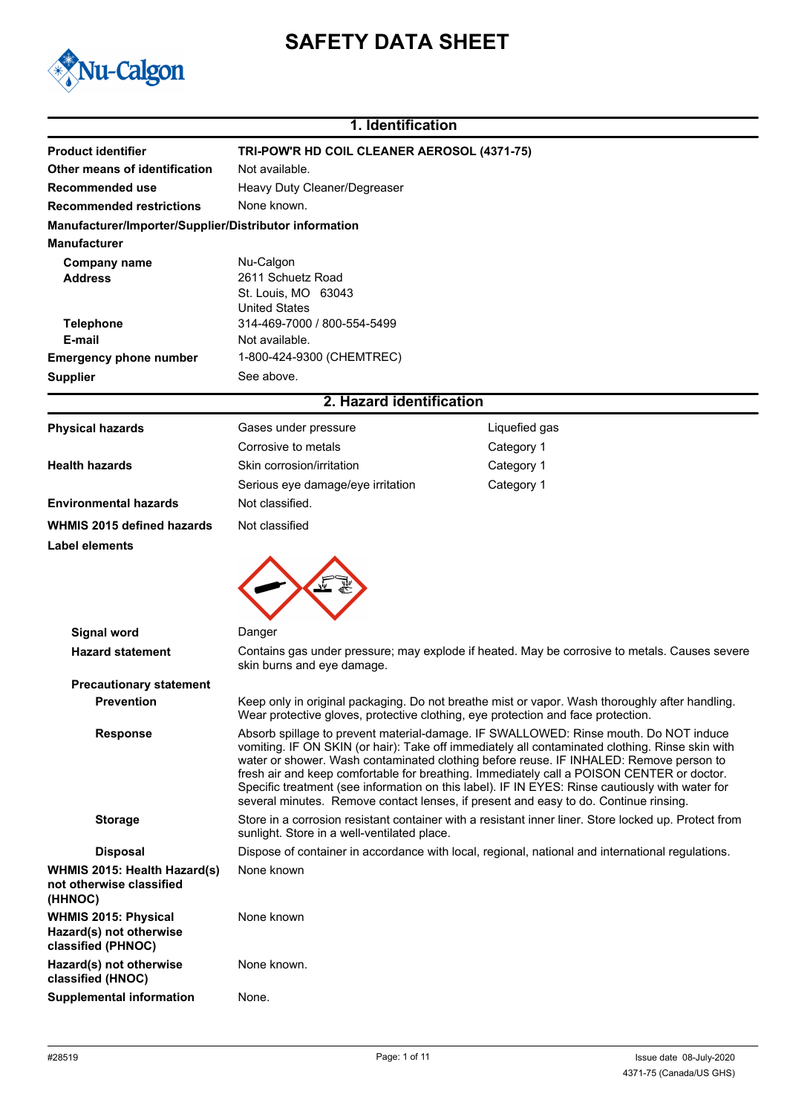# **SAFETY DATA SHEET**



# **1. Identification**

| <b>Product identifier</b>                                                    | TRI-POW'R HD COIL CLEANER AEROSOL (4371-75)                                                                                                                                                                                                                                                                                                                                                                                                                                                                                                                               |                                                                                                      |  |
|------------------------------------------------------------------------------|---------------------------------------------------------------------------------------------------------------------------------------------------------------------------------------------------------------------------------------------------------------------------------------------------------------------------------------------------------------------------------------------------------------------------------------------------------------------------------------------------------------------------------------------------------------------------|------------------------------------------------------------------------------------------------------|--|
| Other means of identification                                                | Not available.                                                                                                                                                                                                                                                                                                                                                                                                                                                                                                                                                            |                                                                                                      |  |
| Recommended use                                                              | Heavy Duty Cleaner/Degreaser                                                                                                                                                                                                                                                                                                                                                                                                                                                                                                                                              |                                                                                                      |  |
| <b>Recommended restrictions</b>                                              | None known.                                                                                                                                                                                                                                                                                                                                                                                                                                                                                                                                                               |                                                                                                      |  |
| Manufacturer/Importer/Supplier/Distributor information                       |                                                                                                                                                                                                                                                                                                                                                                                                                                                                                                                                                                           |                                                                                                      |  |
| <b>Manufacturer</b>                                                          |                                                                                                                                                                                                                                                                                                                                                                                                                                                                                                                                                                           |                                                                                                      |  |
| <b>Company name</b>                                                          | Nu-Calgon                                                                                                                                                                                                                                                                                                                                                                                                                                                                                                                                                                 |                                                                                                      |  |
| <b>Address</b>                                                               | 2611 Schuetz Road                                                                                                                                                                                                                                                                                                                                                                                                                                                                                                                                                         |                                                                                                      |  |
|                                                                              | St. Louis, MO 63043<br><b>United States</b>                                                                                                                                                                                                                                                                                                                                                                                                                                                                                                                               |                                                                                                      |  |
| <b>Telephone</b>                                                             | 314-469-7000 / 800-554-5499                                                                                                                                                                                                                                                                                                                                                                                                                                                                                                                                               |                                                                                                      |  |
| E-mail                                                                       | Not available.                                                                                                                                                                                                                                                                                                                                                                                                                                                                                                                                                            |                                                                                                      |  |
| <b>Emergency phone number</b>                                                | 1-800-424-9300 (CHEMTREC)                                                                                                                                                                                                                                                                                                                                                                                                                                                                                                                                                 |                                                                                                      |  |
| <b>Supplier</b>                                                              | See above.                                                                                                                                                                                                                                                                                                                                                                                                                                                                                                                                                                |                                                                                                      |  |
|                                                                              | 2. Hazard identification                                                                                                                                                                                                                                                                                                                                                                                                                                                                                                                                                  |                                                                                                      |  |
|                                                                              |                                                                                                                                                                                                                                                                                                                                                                                                                                                                                                                                                                           |                                                                                                      |  |
| <b>Physical hazards</b>                                                      | Gases under pressure                                                                                                                                                                                                                                                                                                                                                                                                                                                                                                                                                      | Liquefied gas                                                                                        |  |
|                                                                              | Corrosive to metals<br>Skin corrosion/irritation                                                                                                                                                                                                                                                                                                                                                                                                                                                                                                                          | Category 1                                                                                           |  |
| <b>Health hazards</b>                                                        |                                                                                                                                                                                                                                                                                                                                                                                                                                                                                                                                                                           | Category 1                                                                                           |  |
|                                                                              | Serious eye damage/eye irritation                                                                                                                                                                                                                                                                                                                                                                                                                                                                                                                                         | Category 1                                                                                           |  |
| <b>Environmental hazards</b>                                                 | Not classified.                                                                                                                                                                                                                                                                                                                                                                                                                                                                                                                                                           |                                                                                                      |  |
| WHMIS 2015 defined hazards                                                   | Not classified                                                                                                                                                                                                                                                                                                                                                                                                                                                                                                                                                            |                                                                                                      |  |
| Label elements                                                               |                                                                                                                                                                                                                                                                                                                                                                                                                                                                                                                                                                           |                                                                                                      |  |
|                                                                              |                                                                                                                                                                                                                                                                                                                                                                                                                                                                                                                                                                           |                                                                                                      |  |
| <b>Signal word</b>                                                           | Danger                                                                                                                                                                                                                                                                                                                                                                                                                                                                                                                                                                    |                                                                                                      |  |
| <b>Hazard statement</b>                                                      | Contains gas under pressure; may explode if heated. May be corrosive to metals. Causes severe<br>skin burns and eye damage.                                                                                                                                                                                                                                                                                                                                                                                                                                               |                                                                                                      |  |
| <b>Precautionary statement</b>                                               |                                                                                                                                                                                                                                                                                                                                                                                                                                                                                                                                                                           |                                                                                                      |  |
| <b>Prevention</b>                                                            | Keep only in original packaging. Do not breathe mist or vapor. Wash thoroughly after handling.<br>Wear protective gloves, protective clothing, eye protection and face protection.                                                                                                                                                                                                                                                                                                                                                                                        |                                                                                                      |  |
| <b>Response</b>                                                              | Absorb spillage to prevent material-damage. IF SWALLOWED: Rinse mouth. Do NOT induce<br>vomiting. IF ON SKIN (or hair): Take off immediately all contaminated clothing. Rinse skin with<br>water or shower. Wash contaminated clothing before reuse. IF INHALED: Remove person to<br>fresh air and keep comfortable for breathing. Immediately call a POISON CENTER or doctor.<br>Specific treatment (see information on this label). IF IN EYES: Rinse cautiously with water for<br>several minutes. Remove contact lenses, if present and easy to do. Continue rinsing. |                                                                                                      |  |
| <b>Storage</b>                                                               | sunlight. Store in a well-ventilated place.                                                                                                                                                                                                                                                                                                                                                                                                                                                                                                                               | Store in a corrosion resistant container with a resistant inner liner. Store locked up. Protect from |  |
| <b>Disposal</b>                                                              | Dispose of container in accordance with local, regional, national and international regulations.                                                                                                                                                                                                                                                                                                                                                                                                                                                                          |                                                                                                      |  |
| WHMIS 2015: Health Hazard(s)<br>not otherwise classified<br>(HHNOC)          | None known                                                                                                                                                                                                                                                                                                                                                                                                                                                                                                                                                                |                                                                                                      |  |
| <b>WHMIS 2015: Physical</b><br>Hazard(s) not otherwise<br>classified (PHNOC) | None known                                                                                                                                                                                                                                                                                                                                                                                                                                                                                                                                                                |                                                                                                      |  |
| Hazard(s) not otherwise<br>classified (HNOC)                                 | None known.                                                                                                                                                                                                                                                                                                                                                                                                                                                                                                                                                               |                                                                                                      |  |
| <b>Supplemental information</b>                                              | None.                                                                                                                                                                                                                                                                                                                                                                                                                                                                                                                                                                     |                                                                                                      |  |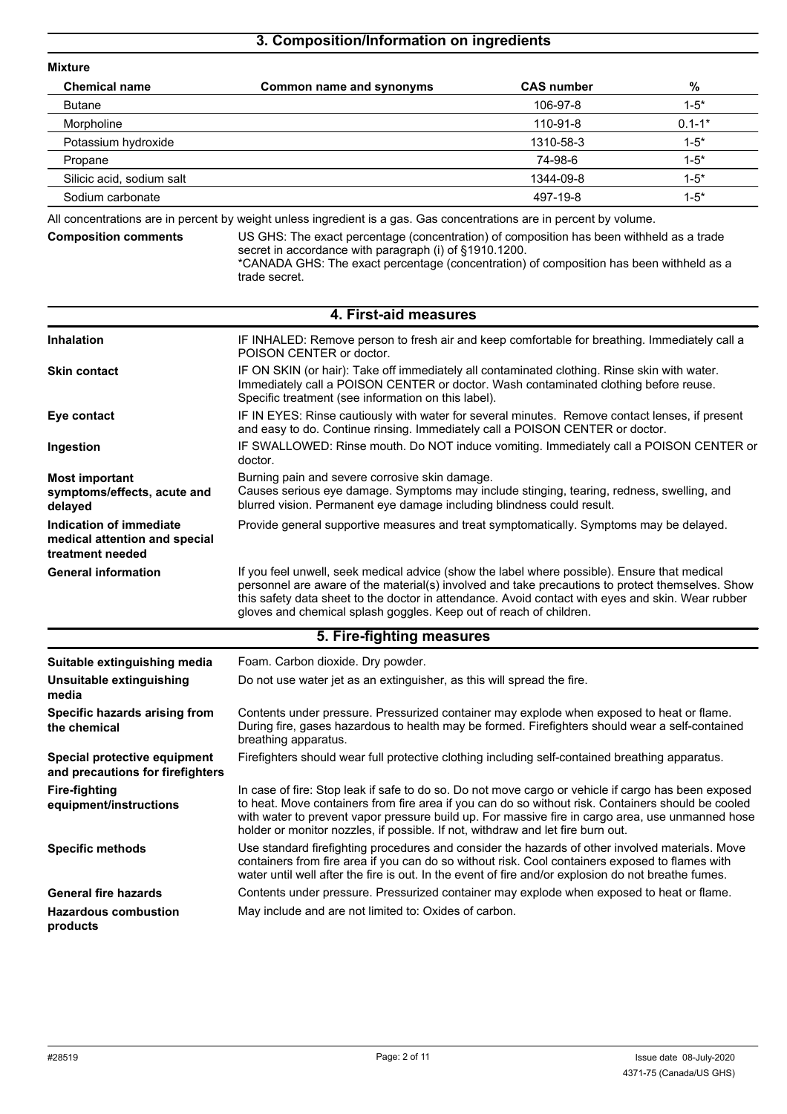## **3. Composition/Information on ingredients**

| <b>Mixture</b>            |                          |                   |            |
|---------------------------|--------------------------|-------------------|------------|
| <b>Chemical name</b>      | Common name and synonyms | <b>CAS number</b> | %          |
| <b>Butane</b>             |                          | 106-97-8          | $1 - 5^*$  |
| Morpholine                |                          | 110-91-8          | $0.1 - 1*$ |
| Potassium hydroxide       |                          | 1310-58-3         | $1 - 5^*$  |
| Propane                   |                          | 74-98-6           | $1 - 5^*$  |
| Silicic acid, sodium salt |                          | 1344-09-8         | $1 - 5^*$  |
| Sodium carbonate          |                          | 497-19-8          | $1 - 5^*$  |

All concentrations are in percent by weight unless ingredient is a gas. Gas concentrations are in percent by volume.

|  | <b>Composition comments</b> |  |
|--|-----------------------------|--|
|  |                             |  |

US GHS: The exact percentage (concentration) of composition has been withheld as a trade secret in accordance with paragraph (i) of §1910.1200. \*CANADA GHS: The exact percentage (concentration) of composition has been withheld as a

trade secret.

|                                                                              | 4. First-aid measures                                                                                                                                                                                                                                                                                                                                                                            |
|------------------------------------------------------------------------------|--------------------------------------------------------------------------------------------------------------------------------------------------------------------------------------------------------------------------------------------------------------------------------------------------------------------------------------------------------------------------------------------------|
| Inhalation                                                                   | IF INHALED: Remove person to fresh air and keep comfortable for breathing. Immediately call a<br>POISON CENTER or doctor.                                                                                                                                                                                                                                                                        |
| <b>Skin contact</b>                                                          | IF ON SKIN (or hair): Take off immediately all contaminated clothing. Rinse skin with water.<br>Immediately call a POISON CENTER or doctor. Wash contaminated clothing before reuse.<br>Specific treatment (see information on this label).                                                                                                                                                      |
| Eye contact                                                                  | IF IN EYES: Rinse cautiously with water for several minutes. Remove contact lenses, if present<br>and easy to do. Continue rinsing. Immediately call a POISON CENTER or doctor.                                                                                                                                                                                                                  |
| Ingestion                                                                    | IF SWALLOWED: Rinse mouth. Do NOT induce vomiting. Immediately call a POISON CENTER or<br>doctor.                                                                                                                                                                                                                                                                                                |
| <b>Most important</b><br>symptoms/effects, acute and<br>delayed              | Burning pain and severe corrosive skin damage.<br>Causes serious eye damage. Symptoms may include stinging, tearing, redness, swelling, and<br>blurred vision. Permanent eye damage including blindness could result.                                                                                                                                                                            |
| Indication of immediate<br>medical attention and special<br>treatment needed | Provide general supportive measures and treat symptomatically. Symptoms may be delayed.                                                                                                                                                                                                                                                                                                          |
| <b>General information</b>                                                   | If you feel unwell, seek medical advice (show the label where possible). Ensure that medical<br>personnel are aware of the material(s) involved and take precautions to protect themselves. Show<br>this safety data sheet to the doctor in attendance. Avoid contact with eyes and skin. Wear rubber<br>gloves and chemical splash goggles. Keep out of reach of children.                      |
|                                                                              | 5. Fire-fighting measures                                                                                                                                                                                                                                                                                                                                                                        |
| Suitable extinguishing media                                                 | Foam. Carbon dioxide. Dry powder.                                                                                                                                                                                                                                                                                                                                                                |
| Unsuitable extinguishing<br>media                                            | Do not use water jet as an extinguisher, as this will spread the fire.                                                                                                                                                                                                                                                                                                                           |
| Specific hazards arising from<br>the chemical                                | Contents under pressure. Pressurized container may explode when exposed to heat or flame.<br>During fire, gases hazardous to health may be formed. Firefighters should wear a self-contained<br>breathing apparatus.                                                                                                                                                                             |
| Special protective equipment<br>and precautions for firefighters             | Firefighters should wear full protective clothing including self-contained breathing apparatus.                                                                                                                                                                                                                                                                                                  |
| <b>Fire-fighting</b><br>equipment/instructions                               | In case of fire: Stop leak if safe to do so. Do not move cargo or vehicle if cargo has been exposed<br>to heat. Move containers from fire area if you can do so without risk. Containers should be cooled<br>with water to prevent vapor pressure build up. For massive fire in cargo area, use unmanned hose<br>holder or monitor nozzles, if possible. If not, withdraw and let fire burn out. |
| <b>Specific methods</b>                                                      | Use standard firefighting procedures and consider the hazards of other involved materials. Move<br>containers from fire area if you can do so without risk. Cool containers exposed to flames with<br>water until well after the fire is out. In the event of fire and/or explosion do not breathe fumes.                                                                                        |
| <b>General fire hazards</b>                                                  | Contents under pressure. Pressurized container may explode when exposed to heat or flame.                                                                                                                                                                                                                                                                                                        |
| <b>Hazardous combustion</b><br>products                                      | May include and are not limited to: Oxides of carbon.                                                                                                                                                                                                                                                                                                                                            |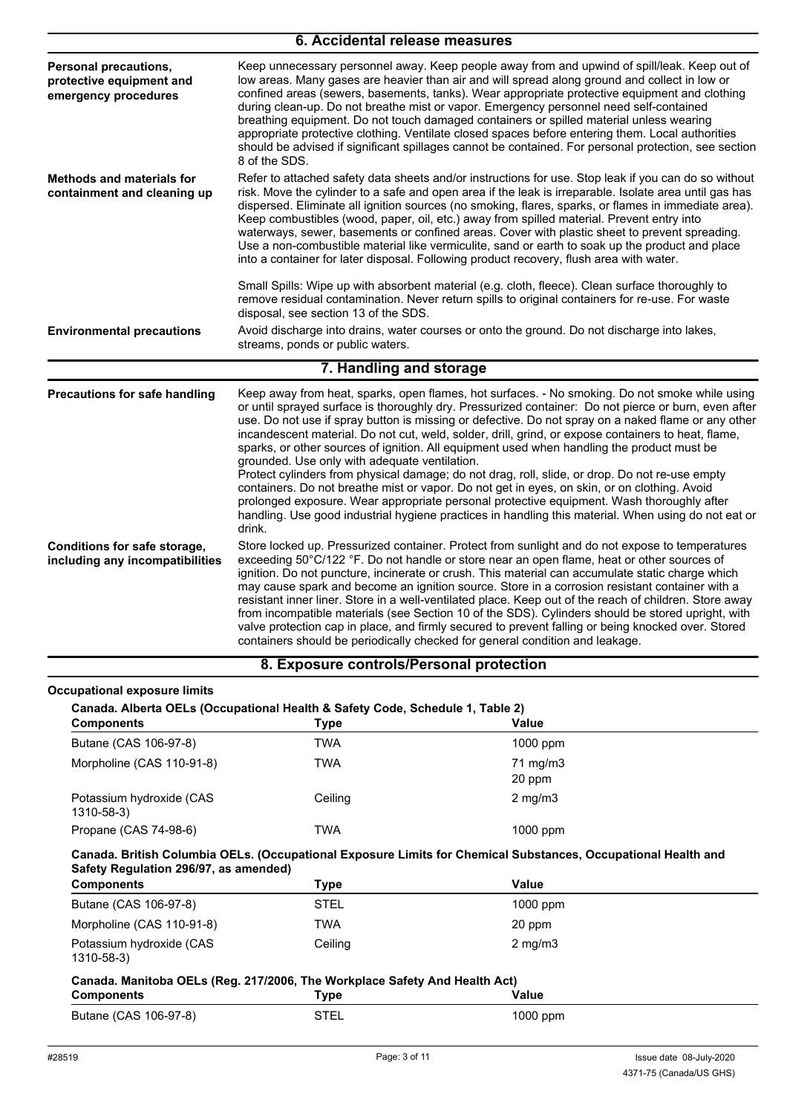| 6. Accidental release measures                                            |                                                                                                                                                                                                                                                                                                                                                                                                                                                                                                                                                                                                                                                                                                                                                                                                                                                                                                                                                                                     |  |  |
|---------------------------------------------------------------------------|-------------------------------------------------------------------------------------------------------------------------------------------------------------------------------------------------------------------------------------------------------------------------------------------------------------------------------------------------------------------------------------------------------------------------------------------------------------------------------------------------------------------------------------------------------------------------------------------------------------------------------------------------------------------------------------------------------------------------------------------------------------------------------------------------------------------------------------------------------------------------------------------------------------------------------------------------------------------------------------|--|--|
| Personal precautions,<br>protective equipment and<br>emergency procedures | Keep unnecessary personnel away. Keep people away from and upwind of spill/leak. Keep out of<br>low areas. Many gases are heavier than air and will spread along ground and collect in low or<br>confined areas (sewers, basements, tanks). Wear appropriate protective equipment and clothing<br>during clean-up. Do not breathe mist or vapor. Emergency personnel need self-contained<br>breathing equipment. Do not touch damaged containers or spilled material unless wearing<br>appropriate protective clothing. Ventilate closed spaces before entering them. Local authorities<br>should be advised if significant spillages cannot be contained. For personal protection, see section<br>8 of the SDS.                                                                                                                                                                                                                                                                    |  |  |
| <b>Methods and materials for</b><br>containment and cleaning up           | Refer to attached safety data sheets and/or instructions for use. Stop leak if you can do so without<br>risk. Move the cylinder to a safe and open area if the leak is irreparable. Isolate area until gas has<br>dispersed. Eliminate all ignition sources (no smoking, flares, sparks, or flames in immediate area).<br>Keep combustibles (wood, paper, oil, etc.) away from spilled material. Prevent entry into<br>waterways, sewer, basements or confined areas. Cover with plastic sheet to prevent spreading.<br>Use a non-combustible material like vermiculite, sand or earth to soak up the product and place<br>into a container for later disposal. Following product recovery, flush area with water.                                                                                                                                                                                                                                                                  |  |  |
|                                                                           | Small Spills: Wipe up with absorbent material (e.g. cloth, fleece). Clean surface thoroughly to<br>remove residual contamination. Never return spills to original containers for re-use. For waste<br>disposal, see section 13 of the SDS.                                                                                                                                                                                                                                                                                                                                                                                                                                                                                                                                                                                                                                                                                                                                          |  |  |
| <b>Environmental precautions</b>                                          | Avoid discharge into drains, water courses or onto the ground. Do not discharge into lakes,<br>streams, ponds or public waters.                                                                                                                                                                                                                                                                                                                                                                                                                                                                                                                                                                                                                                                                                                                                                                                                                                                     |  |  |
|                                                                           | 7. Handling and storage                                                                                                                                                                                                                                                                                                                                                                                                                                                                                                                                                                                                                                                                                                                                                                                                                                                                                                                                                             |  |  |
| <b>Precautions for safe handling</b>                                      | Keep away from heat, sparks, open flames, hot surfaces. - No smoking. Do not smoke while using<br>or until sprayed surface is thoroughly dry. Pressurized container: Do not pierce or burn, even after<br>use. Do not use if spray button is missing or defective. Do not spray on a naked flame or any other<br>incandescent material. Do not cut, weld, solder, drill, grind, or expose containers to heat, flame,<br>sparks, or other sources of ignition. All equipment used when handling the product must be<br>grounded. Use only with adequate ventilation.<br>Protect cylinders from physical damage; do not drag, roll, slide, or drop. Do not re-use empty<br>containers. Do not breathe mist or vapor. Do not get in eyes, on skin, or on clothing. Avoid<br>prolonged exposure. Wear appropriate personal protective equipment. Wash thoroughly after<br>handling. Use good industrial hygiene practices in handling this material. When using do not eat or<br>drink. |  |  |
| Conditions for safe storage,<br>including any incompatibilities           | Store locked up. Pressurized container. Protect from sunlight and do not expose to temperatures<br>exceeding 50°C/122 °F. Do not handle or store near an open flame, heat or other sources of<br>ignition. Do not puncture, incinerate or crush. This material can accumulate static charge which<br>may cause spark and become an ignition source. Store in a corrosion resistant container with a<br>resistant inner liner. Store in a well-ventilated place. Keep out of the reach of children. Store away<br>from incompatible materials (see Section 10 of the SDS). Cylinders should be stored upright, with<br>valve protection cap in place, and firmly secured to prevent falling or being knocked over. Stored<br>containers should be periodically checked for general condition and leakage.                                                                                                                                                                            |  |  |
|                                                                           | 8. Exposure controls/Personal protection                                                                                                                                                                                                                                                                                                                                                                                                                                                                                                                                                                                                                                                                                                                                                                                                                                                                                                                                            |  |  |

| <b>Components</b>                                                                                                                                          | Type        | Value                                                                                                                  |
|------------------------------------------------------------------------------------------------------------------------------------------------------------|-------------|------------------------------------------------------------------------------------------------------------------------|
| Butane (CAS 106-97-8)                                                                                                                                      | <b>TWA</b>  | 1000 ppm                                                                                                               |
| Morpholine (CAS 110-91-8)                                                                                                                                  | <b>TWA</b>  | 71 mg/m3<br>20 ppm                                                                                                     |
| Potassium hydroxide (CAS<br>1310-58-3)                                                                                                                     | Ceiling     | $2 \text{ mg/m}$                                                                                                       |
| Propane (CAS 74-98-6)                                                                                                                                      | <b>TWA</b>  | $1000$ ppm                                                                                                             |
|                                                                                                                                                            |             |                                                                                                                        |
|                                                                                                                                                            | Type        | Canada. British Columbia OELs. (Occupational Exposure Limits for Chemical Substances, Occupational Health and<br>Value |
|                                                                                                                                                            | <b>STEL</b> | 1000 ppm                                                                                                               |
|                                                                                                                                                            | <b>TWA</b>  | 20 ppm                                                                                                                 |
| Safety Regulation 296/97, as amended)<br><b>Components</b><br>Butane (CAS 106-97-8)<br>Morpholine (CAS 110-91-8)<br>Potassium hydroxide (CAS<br>1310-58-3) | Ceiling     | $2 \text{ mg/m}$                                                                                                       |
| Canada. Manitoba OELs (Reg. 217/2006, The Workplace Safety And Health Act)                                                                                 |             |                                                                                                                        |
| <b>Components</b>                                                                                                                                          | Type        | Value                                                                                                                  |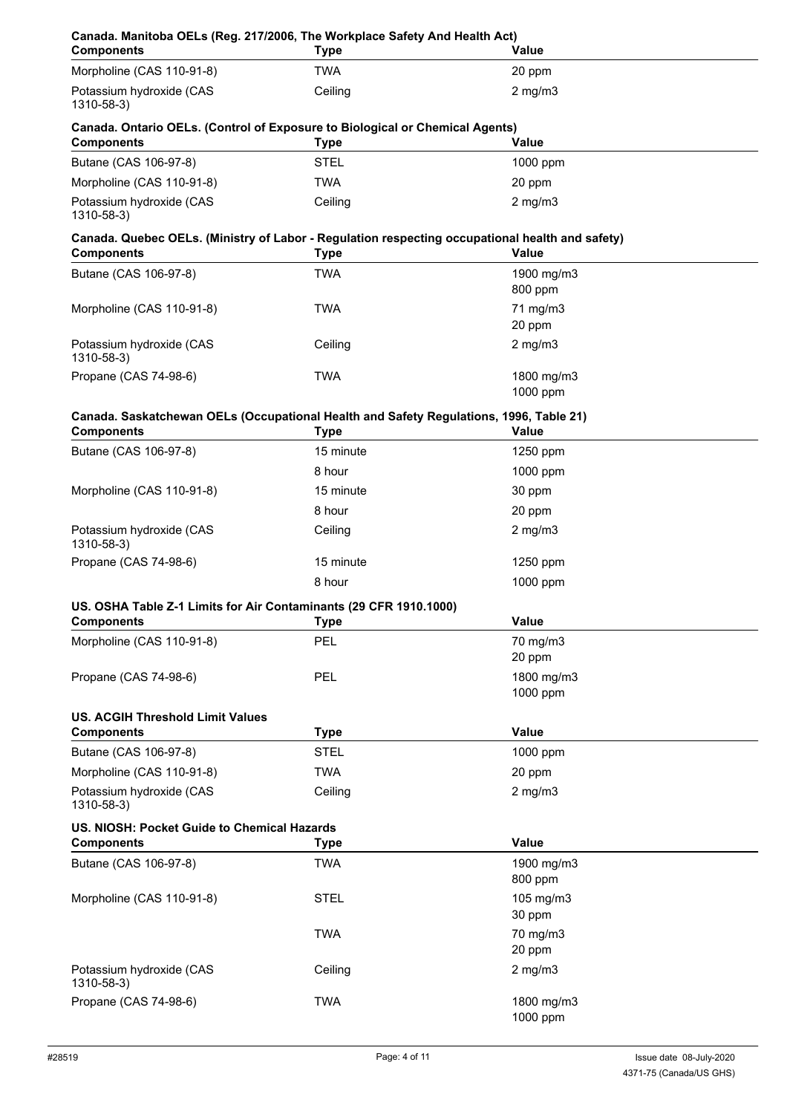| Canada. Manitoba OELs (Reg. 217/2006, The Workplace Safety And Health Act)<br><b>Components</b>                      | <b>Type</b>           | Value                  |
|----------------------------------------------------------------------------------------------------------------------|-----------------------|------------------------|
| Morpholine (CAS 110-91-8)                                                                                            | <b>TWA</b>            | 20 ppm                 |
| Potassium hydroxide (CAS<br>1310-58-3)                                                                               | Ceiling               | $2$ mg/m $3$           |
| Canada. Ontario OELs. (Control of Exposure to Biological or Chemical Agents)<br><b>Components</b>                    | <b>Type</b>           | <b>Value</b>           |
| Butane (CAS 106-97-8)                                                                                                | <b>STEL</b>           | 1000 ppm               |
| Morpholine (CAS 110-91-8)                                                                                            | <b>TWA</b>            | 20 ppm                 |
| Potassium hydroxide (CAS<br>1310-58-3)                                                                               | Ceiling               | $2$ mg/m $3$           |
| Canada. Quebec OELs. (Ministry of Labor - Regulation respecting occupational health and safety)<br><b>Components</b> | <b>Type</b>           | <b>Value</b>           |
| Butane (CAS 106-97-8)                                                                                                | <b>TWA</b>            | 1900 mg/m3<br>800 ppm  |
| Morpholine (CAS 110-91-8)                                                                                            | <b>TWA</b>            | 71 mg/m3<br>20 ppm     |
| Potassium hydroxide (CAS<br>1310-58-3)                                                                               | Ceiling               | $2$ mg/m $3$           |
| Propane (CAS 74-98-6)                                                                                                | <b>TWA</b>            | 1800 mg/m3<br>1000 ppm |
| Canada. Saskatchewan OELs (Occupational Health and Safety Regulations, 1996, Table 21)<br><b>Components</b>          | Type                  | <b>Value</b>           |
| Butane (CAS 106-97-8)                                                                                                | 15 minute             | 1250 ppm               |
|                                                                                                                      | 8 hour                | 1000 ppm               |
| Morpholine (CAS 110-91-8)                                                                                            | 15 minute             | 30 ppm                 |
|                                                                                                                      | 8 hour                | 20 ppm                 |
| Potassium hydroxide (CAS<br>1310-58-3)                                                                               | Ceiling               | $2$ mg/m $3$           |
| Propane (CAS 74-98-6)                                                                                                | 15 minute             | 1250 ppm               |
|                                                                                                                      | 8 hour                | 1000 ppm               |
| US. OSHA Table Z-1 Limits for Air Contaminants (29 CFR 1910.1000)<br><b>Components</b>                               |                       | <b>Value</b>           |
| Morpholine (CAS 110-91-8)                                                                                            | <b>Type</b><br>PEL    | 70 mg/m3               |
|                                                                                                                      |                       | 20 ppm                 |
| Propane (CAS 74-98-6)                                                                                                | <b>PEL</b>            | 1800 mg/m3<br>1000 ppm |
| <b>US. ACGIH Threshold Limit Values</b>                                                                              |                       |                        |
| <b>Components</b>                                                                                                    | <b>Type</b>           | Value                  |
| Butane (CAS 106-97-8)                                                                                                | <b>STEL</b>           | 1000 ppm               |
| Morpholine (CAS 110-91-8)<br>Potassium hydroxide (CAS<br>1310-58-3)                                                  | <b>TWA</b><br>Ceiling | 20 ppm<br>$2$ mg/m $3$ |
| US. NIOSH: Pocket Guide to Chemical Hazards<br><b>Components</b>                                                     | <b>Type</b>           | Value                  |
|                                                                                                                      |                       |                        |
| Butane (CAS 106-97-8)                                                                                                | <b>TWA</b>            | 1900 mg/m3<br>800 ppm  |
| Morpholine (CAS 110-91-8)                                                                                            | <b>STEL</b>           | 105 mg/m3<br>30 ppm    |
|                                                                                                                      | <b>TWA</b>            | 70 mg/m3<br>20 ppm     |
| Potassium hydroxide (CAS<br>1310-58-3)                                                                               | Ceiling               | $2$ mg/m $3$           |
| Propane (CAS 74-98-6)                                                                                                | <b>TWA</b>            | 1800 mg/m3<br>1000 ppm |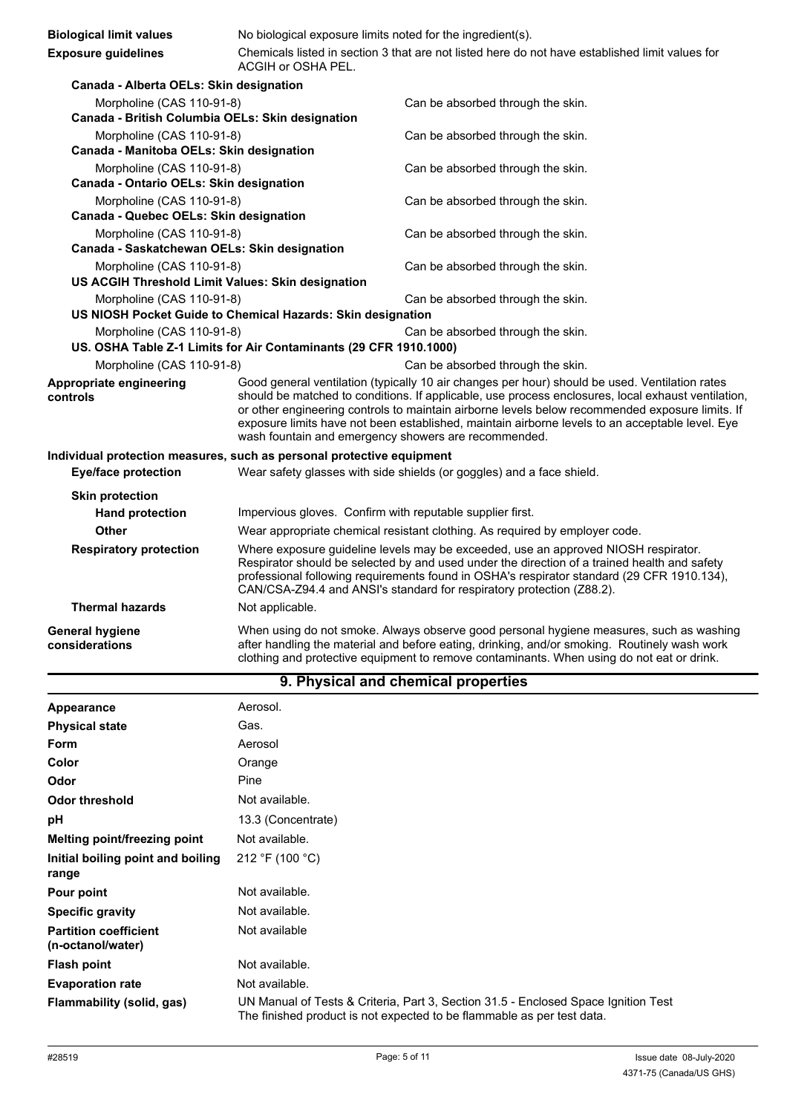| <b>Biological limit values</b>                                                                                                                                      | No biological exposure limits noted for the ingredient(s).                                                                                                                                                                                                                                                                                                                                                                                                         |                                                                                                                                                                                                                                                                                      |
|---------------------------------------------------------------------------------------------------------------------------------------------------------------------|--------------------------------------------------------------------------------------------------------------------------------------------------------------------------------------------------------------------------------------------------------------------------------------------------------------------------------------------------------------------------------------------------------------------------------------------------------------------|--------------------------------------------------------------------------------------------------------------------------------------------------------------------------------------------------------------------------------------------------------------------------------------|
| <b>Exposure guidelines</b>                                                                                                                                          | Chemicals listed in section 3 that are not listed here do not have established limit values for<br>ACGIH or OSHA PEL.                                                                                                                                                                                                                                                                                                                                              |                                                                                                                                                                                                                                                                                      |
| Canada - Alberta OELs: Skin designation                                                                                                                             |                                                                                                                                                                                                                                                                                                                                                                                                                                                                    |                                                                                                                                                                                                                                                                                      |
| Morpholine (CAS 110-91-8)<br>Canada - British Columbia OELs: Skin designation                                                                                       |                                                                                                                                                                                                                                                                                                                                                                                                                                                                    | Can be absorbed through the skin.                                                                                                                                                                                                                                                    |
| Morpholine (CAS 110-91-8)<br>Canada - Manitoba OELs: Skin designation                                                                                               |                                                                                                                                                                                                                                                                                                                                                                                                                                                                    | Can be absorbed through the skin.                                                                                                                                                                                                                                                    |
| Morpholine (CAS 110-91-8)<br>Canada - Ontario OELs: Skin designation                                                                                                |                                                                                                                                                                                                                                                                                                                                                                                                                                                                    | Can be absorbed through the skin.                                                                                                                                                                                                                                                    |
| Morpholine (CAS 110-91-8)<br>Canada - Quebec OELs: Skin designation                                                                                                 |                                                                                                                                                                                                                                                                                                                                                                                                                                                                    | Can be absorbed through the skin.                                                                                                                                                                                                                                                    |
| Morpholine (CAS 110-91-8)                                                                                                                                           |                                                                                                                                                                                                                                                                                                                                                                                                                                                                    | Can be absorbed through the skin.                                                                                                                                                                                                                                                    |
| Canada - Saskatchewan OELs: Skin designation<br>Morpholine (CAS 110-91-8)<br>Can be absorbed through the skin.<br>US ACGIH Threshold Limit Values: Skin designation |                                                                                                                                                                                                                                                                                                                                                                                                                                                                    |                                                                                                                                                                                                                                                                                      |
| Morpholine (CAS 110-91-8)<br>Can be absorbed through the skin.<br>US NIOSH Pocket Guide to Chemical Hazards: Skin designation                                       |                                                                                                                                                                                                                                                                                                                                                                                                                                                                    |                                                                                                                                                                                                                                                                                      |
| Morpholine (CAS 110-91-8)                                                                                                                                           | US. OSHA Table Z-1 Limits for Air Contaminants (29 CFR 1910.1000)                                                                                                                                                                                                                                                                                                                                                                                                  | Can be absorbed through the skin.                                                                                                                                                                                                                                                    |
| Morpholine (CAS 110-91-8)<br>Can be absorbed through the skin.                                                                                                      |                                                                                                                                                                                                                                                                                                                                                                                                                                                                    |                                                                                                                                                                                                                                                                                      |
| Appropriate engineering<br>controls                                                                                                                                 | Good general ventilation (typically 10 air changes per hour) should be used. Ventilation rates<br>should be matched to conditions. If applicable, use process enclosures, local exhaust ventilation,<br>or other engineering controls to maintain airborne levels below recommended exposure limits. If<br>exposure limits have not been established, maintain airborne levels to an acceptable level. Eye<br>wash fountain and emergency showers are recommended. |                                                                                                                                                                                                                                                                                      |
| Individual protection measures, such as personal protective equipment                                                                                               |                                                                                                                                                                                                                                                                                                                                                                                                                                                                    |                                                                                                                                                                                                                                                                                      |
| <b>Eye/face protection</b>                                                                                                                                          |                                                                                                                                                                                                                                                                                                                                                                                                                                                                    | Wear safety glasses with side shields (or goggles) and a face shield.                                                                                                                                                                                                                |
| <b>Skin protection</b><br><b>Hand protection</b>                                                                                                                    | Impervious gloves. Confirm with reputable supplier first.                                                                                                                                                                                                                                                                                                                                                                                                          |                                                                                                                                                                                                                                                                                      |
| Other                                                                                                                                                               | Wear appropriate chemical resistant clothing. As required by employer code.                                                                                                                                                                                                                                                                                                                                                                                        |                                                                                                                                                                                                                                                                                      |
| <b>Respiratory protection</b>                                                                                                                                       | Where exposure guideline levels may be exceeded, use an approved NIOSH respirator.<br>Respirator should be selected by and used under the direction of a trained health and safety<br>professional following requirements found in OSHA's respirator standard (29 CFR 1910.134),<br>CAN/CSA-Z94.4 and ANSI's standard for respiratory protection (Z88.2).                                                                                                          |                                                                                                                                                                                                                                                                                      |
| <b>Thermal hazards</b>                                                                                                                                              | Not applicable.                                                                                                                                                                                                                                                                                                                                                                                                                                                    |                                                                                                                                                                                                                                                                                      |
| <b>General hygiene</b><br>considerations                                                                                                                            |                                                                                                                                                                                                                                                                                                                                                                                                                                                                    | When using do not smoke. Always observe good personal hygiene measures, such as washing<br>after handling the material and before eating, drinking, and/or smoking. Routinely wash work<br>clothing and protective equipment to remove contaminants. When using do not eat or drink. |

# **9. Physical and chemical properties**

| Appearance                                        | Aerosol.                                                                                                                                                     |
|---------------------------------------------------|--------------------------------------------------------------------------------------------------------------------------------------------------------------|
| <b>Physical state</b>                             | Gas.                                                                                                                                                         |
| Form                                              | Aerosol                                                                                                                                                      |
| Color                                             | Orange                                                                                                                                                       |
| Odor                                              | Pine                                                                                                                                                         |
| Odor threshold                                    | Not available.                                                                                                                                               |
| рH                                                | 13.3 (Concentrate)                                                                                                                                           |
| Melting point/freezing point                      | Not available.                                                                                                                                               |
| Initial boiling point and boiling<br>range        | 212 °F (100 °C)                                                                                                                                              |
| Pour point                                        | Not available.                                                                                                                                               |
| <b>Specific gravity</b>                           | Not available.                                                                                                                                               |
| <b>Partition coefficient</b><br>(n-octanol/water) | Not available                                                                                                                                                |
| <b>Flash point</b>                                | Not available.                                                                                                                                               |
| <b>Evaporation rate</b>                           | Not available.                                                                                                                                               |
| Flammability (solid, gas)                         | UN Manual of Tests & Criteria, Part 3, Section 31.5 - Enclosed Space Ignition Test<br>The finished product is not expected to be flammable as per test data. |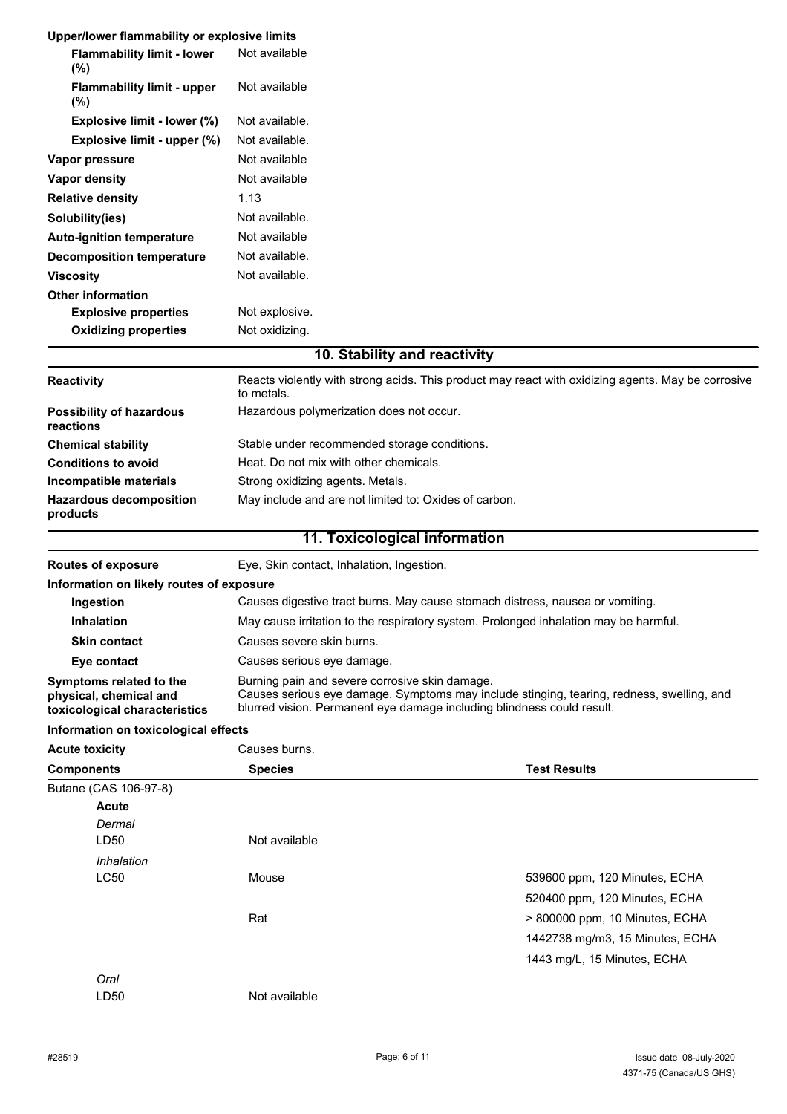|                                                                                    | Upper/lower flammability or explosive limits                                                                                                                                                                          |                                 |  |
|------------------------------------------------------------------------------------|-----------------------------------------------------------------------------------------------------------------------------------------------------------------------------------------------------------------------|---------------------------------|--|
| <b>Flammability limit - lower</b><br>(%)                                           | Not available                                                                                                                                                                                                         |                                 |  |
| <b>Flammability limit - upper</b><br>(%)                                           | Not available                                                                                                                                                                                                         |                                 |  |
| Explosive limit - lower (%)                                                        | Not available.                                                                                                                                                                                                        |                                 |  |
| Explosive limit - upper (%)                                                        | Not available.                                                                                                                                                                                                        |                                 |  |
| Vapor pressure                                                                     | Not available                                                                                                                                                                                                         |                                 |  |
| <b>Vapor density</b>                                                               | Not available                                                                                                                                                                                                         |                                 |  |
| <b>Relative density</b>                                                            | 1.13                                                                                                                                                                                                                  |                                 |  |
| Solubility(ies)                                                                    | Not available.                                                                                                                                                                                                        |                                 |  |
| <b>Auto-ignition temperature</b>                                                   | Not available                                                                                                                                                                                                         |                                 |  |
| <b>Decomposition temperature</b>                                                   | Not available.                                                                                                                                                                                                        |                                 |  |
| <b>Viscosity</b>                                                                   | Not available.                                                                                                                                                                                                        |                                 |  |
| <b>Other information</b>                                                           |                                                                                                                                                                                                                       |                                 |  |
| <b>Explosive properties</b>                                                        | Not explosive.                                                                                                                                                                                                        |                                 |  |
| <b>Oxidizing properties</b>                                                        | Not oxidizing.                                                                                                                                                                                                        |                                 |  |
|                                                                                    | 10. Stability and reactivity                                                                                                                                                                                          |                                 |  |
| <b>Reactivity</b>                                                                  | Reacts violently with strong acids. This product may react with oxidizing agents. May be corrosive<br>to metals.                                                                                                      |                                 |  |
| <b>Possibility of hazardous</b><br>reactions                                       | Hazardous polymerization does not occur.                                                                                                                                                                              |                                 |  |
| <b>Chemical stability</b>                                                          | Stable under recommended storage conditions.                                                                                                                                                                          |                                 |  |
| <b>Conditions to avoid</b>                                                         | Heat. Do not mix with other chemicals.                                                                                                                                                                                |                                 |  |
| Incompatible materials                                                             | Strong oxidizing agents. Metals.                                                                                                                                                                                      |                                 |  |
| <b>Hazardous decomposition</b><br>products                                         | May include and are not limited to: Oxides of carbon.                                                                                                                                                                 |                                 |  |
|                                                                                    | 11. Toxicological information                                                                                                                                                                                         |                                 |  |
| <b>Routes of exposure</b>                                                          | Eye, Skin contact, Inhalation, Ingestion.                                                                                                                                                                             |                                 |  |
|                                                                                    |                                                                                                                                                                                                                       |                                 |  |
| Information on likely routes of exposure                                           |                                                                                                                                                                                                                       |                                 |  |
| Ingestion                                                                          | Causes digestive tract burns. May cause stomach distress, nausea or vomiting.                                                                                                                                         |                                 |  |
| <b>Inhalation</b>                                                                  | May cause irritation to the respiratory system. Prolonged inhalation may be harmful.                                                                                                                                  |                                 |  |
| <b>Skin contact</b>                                                                | Causes severe skin burns.                                                                                                                                                                                             |                                 |  |
| Eye contact                                                                        | Causes serious eye damage.                                                                                                                                                                                            |                                 |  |
| Symptoms related to the<br>physical, chemical and<br>toxicological characteristics | Burning pain and severe corrosive skin damage.<br>Causes serious eye damage. Symptoms may include stinging, tearing, redness, swelling, and<br>blurred vision. Permanent eye damage including blindness could result. |                                 |  |
| Information on toxicological effects                                               |                                                                                                                                                                                                                       |                                 |  |
| <b>Acute toxicity</b>                                                              | Causes burns.                                                                                                                                                                                                         |                                 |  |
| <b>Components</b>                                                                  | <b>Species</b>                                                                                                                                                                                                        | <b>Test Results</b>             |  |
| Butane (CAS 106-97-8)                                                              |                                                                                                                                                                                                                       |                                 |  |
| <b>Acute</b>                                                                       |                                                                                                                                                                                                                       |                                 |  |
| Dermal                                                                             |                                                                                                                                                                                                                       |                                 |  |
| LD50                                                                               | Not available                                                                                                                                                                                                         |                                 |  |
| Inhalation                                                                         | Mouse                                                                                                                                                                                                                 |                                 |  |
| LC50                                                                               |                                                                                                                                                                                                                       | 539600 ppm, 120 Minutes, ECHA   |  |
|                                                                                    | Rat                                                                                                                                                                                                                   | 520400 ppm, 120 Minutes, ECHA   |  |
|                                                                                    |                                                                                                                                                                                                                       | > 800000 ppm, 10 Minutes, ECHA  |  |
|                                                                                    |                                                                                                                                                                                                                       | 1442738 mg/m3, 15 Minutes, ECHA |  |
| Oral                                                                               |                                                                                                                                                                                                                       | 1443 mg/L, 15 Minutes, ECHA     |  |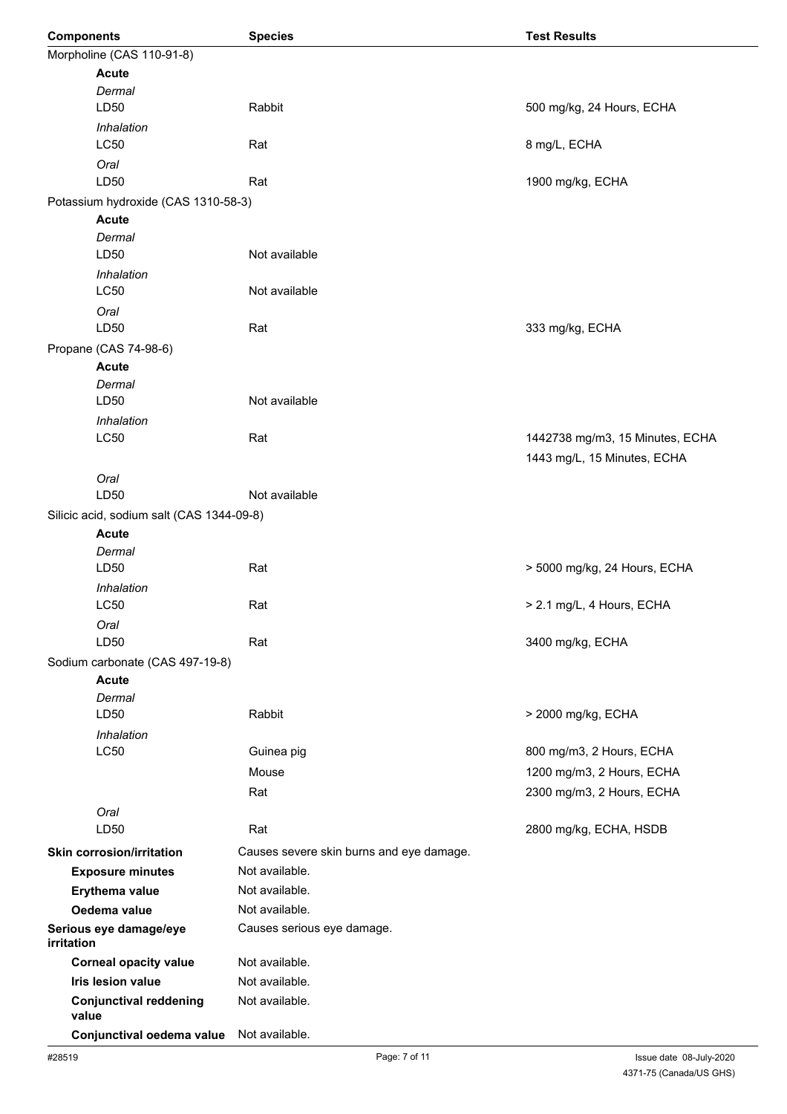|            | <b>Components</b>                                 | <b>Species</b>                           | <b>Test Results</b>             |
|------------|---------------------------------------------------|------------------------------------------|---------------------------------|
|            | Morpholine (CAS 110-91-8)                         |                                          |                                 |
|            | <b>Acute</b>                                      |                                          |                                 |
|            | Dermal                                            |                                          |                                 |
|            | LD50                                              | Rabbit                                   | 500 mg/kg, 24 Hours, ECHA       |
|            | Inhalation                                        |                                          |                                 |
|            | <b>LC50</b>                                       | Rat                                      | 8 mg/L, ECHA                    |
|            | Oral                                              |                                          |                                 |
|            | LD50                                              | Rat                                      | 1900 mg/kg, ECHA                |
|            | Potassium hydroxide (CAS 1310-58-3)               |                                          |                                 |
|            | <b>Acute</b><br>Dermal                            |                                          |                                 |
|            | LD <sub>50</sub>                                  | Not available                            |                                 |
|            | Inhalation                                        |                                          |                                 |
|            | <b>LC50</b>                                       | Not available                            |                                 |
|            | Oral                                              |                                          |                                 |
|            | LD50                                              | Rat                                      | 333 mg/kg, ECHA                 |
|            | Propane (CAS 74-98-6)                             |                                          |                                 |
|            | <b>Acute</b>                                      |                                          |                                 |
|            | Dermal                                            |                                          |                                 |
|            | LD50                                              | Not available                            |                                 |
|            | Inhalation                                        |                                          |                                 |
|            | <b>LC50</b>                                       | Rat                                      | 1442738 mg/m3, 15 Minutes, ECHA |
|            |                                                   |                                          | 1443 mg/L, 15 Minutes, ECHA     |
|            | Oral                                              |                                          |                                 |
|            | LD50                                              | Not available                            |                                 |
|            | Silicic acid, sodium salt (CAS 1344-09-8)         |                                          |                                 |
|            | <b>Acute</b>                                      |                                          |                                 |
|            | Dermal                                            |                                          |                                 |
|            | LD50                                              | Rat                                      | > 5000 mg/kg, 24 Hours, ECHA    |
|            | Inhalation<br><b>LC50</b>                         | Rat                                      | > 2.1 mg/L, 4 Hours, ECHA       |
|            |                                                   |                                          |                                 |
|            | Oral<br>LD <sub>50</sub>                          | Rat                                      | 3400 mg/kg, ECHA                |
|            | Sodium carbonate (CAS 497-19-8)                   |                                          |                                 |
|            | <b>Acute</b>                                      |                                          |                                 |
|            | Dermal                                            |                                          |                                 |
|            | LD50                                              | Rabbit                                   | > 2000 mg/kg, ECHA              |
|            | <b>Inhalation</b>                                 |                                          |                                 |
|            | LC50                                              | Guinea pig                               | 800 mg/m3, 2 Hours, ECHA        |
|            |                                                   | Mouse                                    | 1200 mg/m3, 2 Hours, ECHA       |
|            |                                                   | Rat                                      | 2300 mg/m3, 2 Hours, ECHA       |
|            | Oral                                              |                                          |                                 |
|            | LD50                                              | Rat                                      | 2800 mg/kg, ECHA, HSDB          |
|            | <b>Skin corrosion/irritation</b>                  | Causes severe skin burns and eye damage. |                                 |
|            | <b>Exposure minutes</b>                           | Not available.                           |                                 |
|            | Erythema value                                    | Not available.                           |                                 |
|            | Oedema value                                      | Not available.                           |                                 |
|            | Serious eye damage/eye                            | Causes serious eye damage.               |                                 |
| irritation |                                                   | Not available.                           |                                 |
|            | <b>Corneal opacity value</b><br>Iris lesion value | Not available.                           |                                 |
|            |                                                   | Not available.                           |                                 |
|            | <b>Conjunctival reddening</b><br>value            |                                          |                                 |
|            | Conjunctival oedema value                         | Not available.                           |                                 |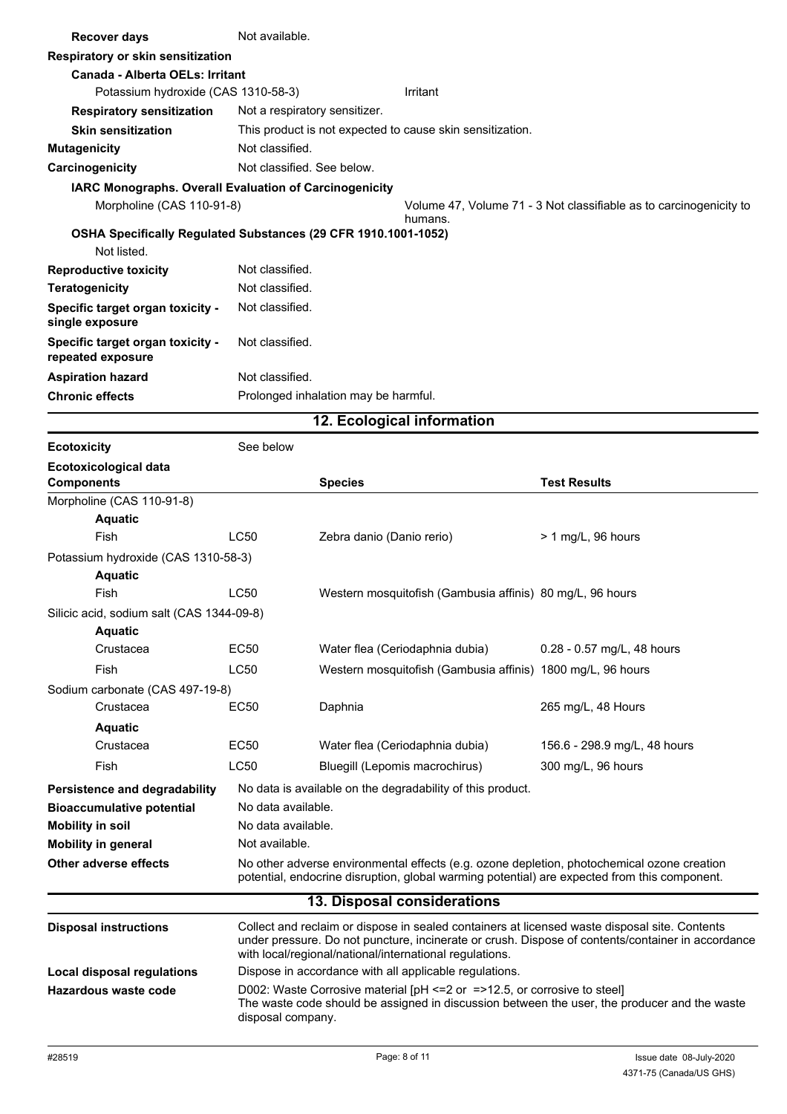| <b>Recover days</b>                                   | Not available.                                                 |                                                                               |  |  |
|-------------------------------------------------------|----------------------------------------------------------------|-------------------------------------------------------------------------------|--|--|
| Respiratory or skin sensitization                     |                                                                |                                                                               |  |  |
| Canada - Alberta OELs: Irritant                       |                                                                |                                                                               |  |  |
| Potassium hydroxide (CAS 1310-58-3)                   |                                                                | Irritant                                                                      |  |  |
| <b>Respiratory sensitization</b>                      | Not a respiratory sensitizer.                                  |                                                                               |  |  |
| <b>Skin sensitization</b>                             | This product is not expected to cause skin sensitization.      |                                                                               |  |  |
| <b>Mutagenicity</b>                                   | Not classified.                                                |                                                                               |  |  |
| Carcinogenicity                                       | Not classified. See below.                                     |                                                                               |  |  |
|                                                       | <b>IARC Monographs. Overall Evaluation of Carcinogenicity</b>  |                                                                               |  |  |
| Morpholine (CAS 110-91-8)                             |                                                                | Volume 47, Volume 71 - 3 Not classifiable as to carcinogenicity to<br>humans. |  |  |
|                                                       | OSHA Specifically Regulated Substances (29 CFR 1910.1001-1052) |                                                                               |  |  |
| Not listed.                                           |                                                                |                                                                               |  |  |
| <b>Reproductive toxicity</b>                          | Not classified.                                                |                                                                               |  |  |
| <b>Teratogenicity</b>                                 | Not classified.                                                |                                                                               |  |  |
| Specific target organ toxicity -<br>single exposure   | Not classified.                                                |                                                                               |  |  |
| Specific target organ toxicity -<br>repeated exposure | Not classified.                                                |                                                                               |  |  |
| <b>Aspiration hazard</b>                              | Not classified.                                                |                                                                               |  |  |
| <b>Chronic effects</b>                                | Prolonged inhalation may be harmful.                           |                                                                               |  |  |
| 12. Ecological information                            |                                                                |                                                                               |  |  |

| <b>Ecotoxicity</b>                                | See below                                                                                                                                                                                                                                                     |                                                                                                                                                                                                  |                              |
|---------------------------------------------------|---------------------------------------------------------------------------------------------------------------------------------------------------------------------------------------------------------------------------------------------------------------|--------------------------------------------------------------------------------------------------------------------------------------------------------------------------------------------------|------------------------------|
| <b>Ecotoxicological data</b><br><b>Components</b> |                                                                                                                                                                                                                                                               | <b>Species</b>                                                                                                                                                                                   | <b>Test Results</b>          |
| Morpholine (CAS 110-91-8)                         |                                                                                                                                                                                                                                                               |                                                                                                                                                                                                  |                              |
| <b>Aquatic</b>                                    |                                                                                                                                                                                                                                                               |                                                                                                                                                                                                  |                              |
| Fish                                              | <b>LC50</b>                                                                                                                                                                                                                                                   | Zebra danio (Danio rerio)                                                                                                                                                                        | $> 1$ mg/L, 96 hours         |
| Potassium hydroxide (CAS 1310-58-3)               |                                                                                                                                                                                                                                                               |                                                                                                                                                                                                  |                              |
| <b>Aquatic</b>                                    |                                                                                                                                                                                                                                                               |                                                                                                                                                                                                  |                              |
| Fish                                              | LC50                                                                                                                                                                                                                                                          | Western mosquitofish (Gambusia affinis) 80 mg/L, 96 hours                                                                                                                                        |                              |
| Silicic acid, sodium salt (CAS 1344-09-8)         |                                                                                                                                                                                                                                                               |                                                                                                                                                                                                  |                              |
| <b>Aquatic</b>                                    |                                                                                                                                                                                                                                                               |                                                                                                                                                                                                  |                              |
| Crustacea                                         | EC50                                                                                                                                                                                                                                                          | Water flea (Ceriodaphnia dubia)                                                                                                                                                                  | 0.28 - 0.57 mg/L, 48 hours   |
| <b>Fish</b>                                       | <b>LC50</b>                                                                                                                                                                                                                                                   | Western mosquitofish (Gambusia affinis) 1800 mg/L, 96 hours                                                                                                                                      |                              |
| Sodium carbonate (CAS 497-19-8)                   |                                                                                                                                                                                                                                                               |                                                                                                                                                                                                  |                              |
| Crustacea                                         | <b>EC50</b>                                                                                                                                                                                                                                                   | Daphnia                                                                                                                                                                                          | 265 mg/L, 48 Hours           |
| <b>Aquatic</b>                                    |                                                                                                                                                                                                                                                               |                                                                                                                                                                                                  |                              |
| Crustacea                                         | <b>EC50</b>                                                                                                                                                                                                                                                   | Water flea (Ceriodaphnia dubia)                                                                                                                                                                  | 156.6 - 298.9 mg/L, 48 hours |
| <b>Fish</b>                                       | <b>LC50</b>                                                                                                                                                                                                                                                   | Bluegill (Lepomis macrochirus)                                                                                                                                                                   | 300 mg/L, 96 hours           |
| Persistence and degradability                     |                                                                                                                                                                                                                                                               | No data is available on the degradability of this product.                                                                                                                                       |                              |
| <b>Bioaccumulative potential</b>                  | No data available.                                                                                                                                                                                                                                            |                                                                                                                                                                                                  |                              |
| <b>Mobility in soil</b>                           | No data available.                                                                                                                                                                                                                                            |                                                                                                                                                                                                  |                              |
| <b>Mobility in general</b>                        | Not available.                                                                                                                                                                                                                                                |                                                                                                                                                                                                  |                              |
| Other adverse effects                             |                                                                                                                                                                                                                                                               | No other adverse environmental effects (e.g. ozone depletion, photochemical ozone creation<br>potential, endocrine disruption, global warming potential) are expected from this component.       |                              |
|                                                   |                                                                                                                                                                                                                                                               | 13. Disposal considerations                                                                                                                                                                      |                              |
| <b>Disposal instructions</b>                      | Collect and reclaim or dispose in sealed containers at licensed waste disposal site. Contents<br>under pressure. Do not puncture, incinerate or crush. Dispose of contents/container in accordance<br>with local/regional/national/international regulations. |                                                                                                                                                                                                  |                              |
| <b>Local disposal regulations</b>                 |                                                                                                                                                                                                                                                               | Dispose in accordance with all applicable regulations.                                                                                                                                           |                              |
| Hazardous waste code                              |                                                                                                                                                                                                                                                               | D002: Waste Corrosive material [pH <= 2 or = > 12.5, or corrosive to steel]<br>The waste code should be assigned in discussion between the user, the producer and the waste<br>disposal company. |                              |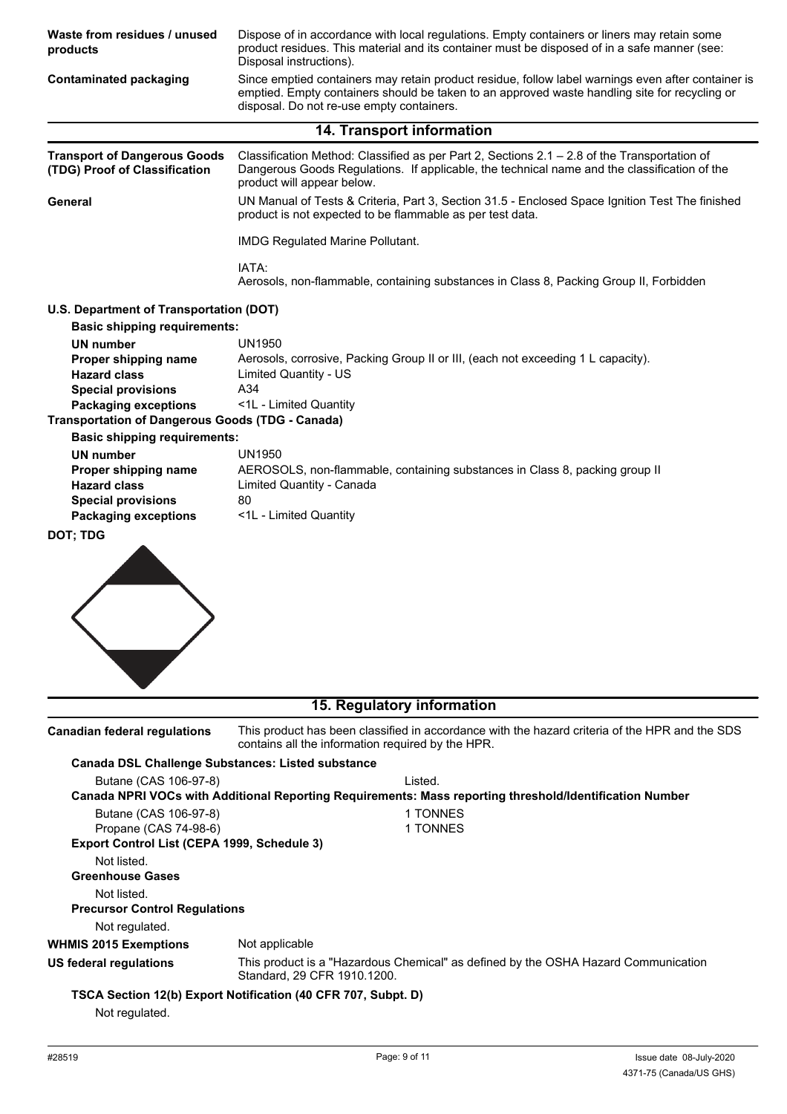| Waste from residues / unused<br>products                             | Dispose of in accordance with local regulations. Empty containers or liners may retain some<br>product residues. This material and its container must be disposed of in a safe manner (see:<br>Disposal instructions).                           |  |  |
|----------------------------------------------------------------------|--------------------------------------------------------------------------------------------------------------------------------------------------------------------------------------------------------------------------------------------------|--|--|
| <b>Contaminated packaging</b>                                        | Since emptied containers may retain product residue, follow label warnings even after container is<br>emptied. Empty containers should be taken to an approved waste handling site for recycling or<br>disposal. Do not re-use empty containers. |  |  |
|                                                                      | 14. Transport information                                                                                                                                                                                                                        |  |  |
| <b>Transport of Dangerous Goods</b><br>(TDG) Proof of Classification | Classification Method: Classified as per Part 2, Sections 2.1 - 2.8 of the Transportation of<br>Dangerous Goods Regulations. If applicable, the technical name and the classification of the<br>product will appear below.                       |  |  |
| General                                                              | UN Manual of Tests & Criteria, Part 3, Section 31.5 - Enclosed Space Ignition Test The finished<br>product is not expected to be flammable as per test data.                                                                                     |  |  |
|                                                                      | <b>IMDG Regulated Marine Pollutant.</b>                                                                                                                                                                                                          |  |  |
|                                                                      | IATA:<br>Aerosols, non-flammable, containing substances in Class 8, Packing Group II, Forbidden                                                                                                                                                  |  |  |
| U.S. Department of Transportation (DOT)                              |                                                                                                                                                                                                                                                  |  |  |
| <b>Basic shipping requirements:</b>                                  |                                                                                                                                                                                                                                                  |  |  |
| <b>UN number</b>                                                     | <b>UN1950</b>                                                                                                                                                                                                                                    |  |  |
| Proper shipping name                                                 | Aerosols, corrosive, Packing Group II or III, (each not exceeding 1 L capacity).                                                                                                                                                                 |  |  |
| <b>Hazard class</b><br><b>Special provisions</b>                     | <b>Limited Quantity - US</b><br>A34                                                                                                                                                                                                              |  |  |
| <b>Packaging exceptions</b>                                          | <1L - Limited Quantity                                                                                                                                                                                                                           |  |  |
| <b>Transportation of Dangerous Goods (TDG - Canada)</b>              |                                                                                                                                                                                                                                                  |  |  |
| <b>Basic shipping requirements:</b>                                  |                                                                                                                                                                                                                                                  |  |  |
| <b>UN number</b>                                                     | <b>UN1950</b>                                                                                                                                                                                                                                    |  |  |
| Proper shipping name                                                 | AEROSOLS, non-flammable, containing substances in Class 8, packing group II                                                                                                                                                                      |  |  |
| <b>Hazard class</b>                                                  | Limited Quantity - Canada                                                                                                                                                                                                                        |  |  |
| <b>Special provisions</b>                                            | 80                                                                                                                                                                                                                                               |  |  |
| <b>Packaging exceptions</b><br>DOT; TDG                              | <1L - Limited Quantity                                                                                                                                                                                                                           |  |  |
|                                                                      |                                                                                                                                                                                                                                                  |  |  |
|                                                                      | 15. Regulatory information                                                                                                                                                                                                                       |  |  |
| <b>Canadian federal regulations</b>                                  | This product has been classified in accordance with the hazard criteria of the HPR and the SDS<br>contains all the information required by the HPR.                                                                                              |  |  |
| <b>Canada DSL Challenge Substances: Listed substance</b>             |                                                                                                                                                                                                                                                  |  |  |
| Butane (CAS 106-97-8)                                                | Listed.                                                                                                                                                                                                                                          |  |  |
|                                                                      | Canada NPRI VOCs with Additional Reporting Requirements: Mass reporting threshold/Identification Number                                                                                                                                          |  |  |
| Butane (CAS 106-97-8)                                                | 1 TONNES                                                                                                                                                                                                                                         |  |  |
| Propane (CAS 74-98-6)<br>Export Control List (CEPA 1999, Schedule 3) | 1 TONNES                                                                                                                                                                                                                                         |  |  |
| Not listed.                                                          |                                                                                                                                                                                                                                                  |  |  |
| <b>Greenhouse Gases</b>                                              |                                                                                                                                                                                                                                                  |  |  |
| Not listed.                                                          |                                                                                                                                                                                                                                                  |  |  |
| <b>Precursor Control Regulations</b>                                 |                                                                                                                                                                                                                                                  |  |  |
| Not regulated.                                                       |                                                                                                                                                                                                                                                  |  |  |
| <b>WHMIS 2015 Exemptions</b>                                         | Not applicable                                                                                                                                                                                                                                   |  |  |
| <b>US federal regulations</b>                                        | This product is a "Hazardous Chemical" as defined by the OSHA Hazard Communication                                                                                                                                                               |  |  |
|                                                                      | Standard, 29 CFR 1910.1200.                                                                                                                                                                                                                      |  |  |
| Not regulated.                                                       | TSCA Section 12(b) Export Notification (40 CFR 707, Subpt. D)                                                                                                                                                                                    |  |  |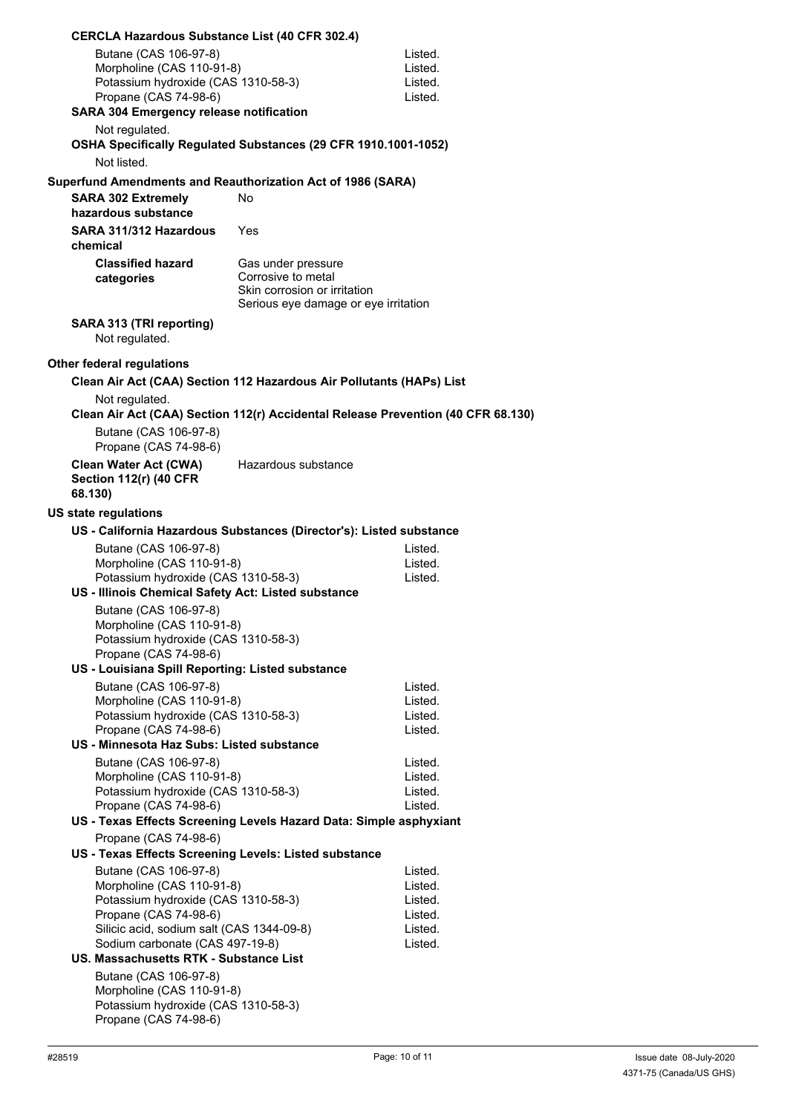| <b>CERCLA Hazardous Substance List (40 CFR 302.4)</b>                    |                                                                                                                  |                    |
|--------------------------------------------------------------------------|------------------------------------------------------------------------------------------------------------------|--------------------|
| Butane (CAS 106-97-8)                                                    |                                                                                                                  | Listed.            |
| Morpholine (CAS 110-91-8)                                                |                                                                                                                  | Listed.            |
| Potassium hydroxide (CAS 1310-58-3)                                      |                                                                                                                  | Listed.            |
| Propane (CAS 74-98-6)<br><b>SARA 304 Emergency release notification</b>  |                                                                                                                  | Listed.            |
| Not regulated.                                                           |                                                                                                                  |                    |
|                                                                          | OSHA Specifically Regulated Substances (29 CFR 1910.1001-1052)                                                   |                    |
| Not listed.                                                              |                                                                                                                  |                    |
|                                                                          |                                                                                                                  |                    |
| <b>SARA 302 Extremely</b><br>hazardous substance                         | Superfund Amendments and Reauthorization Act of 1986 (SARA)<br>No.                                               |                    |
| SARA 311/312 Hazardous<br>chemical                                       | Yes                                                                                                              |                    |
| <b>Classified hazard</b><br>categories                                   | Gas under pressure<br>Corrosive to metal<br>Skin corrosion or irritation<br>Serious eye damage or eye irritation |                    |
| SARA 313 (TRI reporting)<br>Not regulated.                               |                                                                                                                  |                    |
| Other federal regulations                                                |                                                                                                                  |                    |
|                                                                          | Clean Air Act (CAA) Section 112 Hazardous Air Pollutants (HAPs) List                                             |                    |
| Not regulated.                                                           |                                                                                                                  |                    |
|                                                                          | Clean Air Act (CAA) Section 112(r) Accidental Release Prevention (40 CFR 68.130)                                 |                    |
| Butane (CAS 106-97-8)                                                    |                                                                                                                  |                    |
| Propane (CAS 74-98-6)                                                    |                                                                                                                  |                    |
| <b>Clean Water Act (CWA)</b><br><b>Section 112(r) (40 CFR</b><br>68.130) | Hazardous substance                                                                                              |                    |
| <b>US state regulations</b>                                              |                                                                                                                  |                    |
|                                                                          | US - California Hazardous Substances (Director's): Listed substance                                              |                    |
| Butane (CAS 106-97-8)                                                    |                                                                                                                  | Listed.            |
| Morpholine (CAS 110-91-8)                                                |                                                                                                                  | Listed.            |
| Potassium hydroxide (CAS 1310-58-3)                                      |                                                                                                                  | Listed.            |
| US - Illinois Chemical Safety Act: Listed substance                      |                                                                                                                  |                    |
| Butane (CAS 106-97-8)                                                    |                                                                                                                  |                    |
| Morpholine (CAS 110-91-8)<br>Potassium hydroxide (CAS 1310-58-3)         |                                                                                                                  |                    |
| Propane (CAS 74-98-6)                                                    |                                                                                                                  |                    |
| US - Louisiana Spill Reporting: Listed substance                         |                                                                                                                  |                    |
| Butane (CAS 106-97-8)                                                    |                                                                                                                  | Listed.            |
| Morpholine (CAS 110-91-8)                                                |                                                                                                                  | Listed.            |
| Potassium hydroxide (CAS 1310-58-3)                                      |                                                                                                                  | Listed.            |
| Propane (CAS 74-98-6)<br>US - Minnesota Haz Subs: Listed substance       |                                                                                                                  | Listed.            |
| Butane (CAS 106-97-8)                                                    |                                                                                                                  | Listed.            |
| Morpholine (CAS 110-91-8)                                                |                                                                                                                  | Listed.            |
| Potassium hydroxide (CAS 1310-58-3)                                      |                                                                                                                  | Listed.            |
| Propane (CAS 74-98-6)                                                    |                                                                                                                  | Listed.            |
|                                                                          | US - Texas Effects Screening Levels Hazard Data: Simple asphyxiant                                               |                    |
| Propane (CAS 74-98-6)                                                    |                                                                                                                  |                    |
| US - Texas Effects Screening Levels: Listed substance                    |                                                                                                                  |                    |
| Butane (CAS 106-97-8)<br>Morpholine (CAS 110-91-8)                       |                                                                                                                  | Listed.<br>Listed. |
| Potassium hydroxide (CAS 1310-58-3)                                      |                                                                                                                  | Listed.            |
| Propane (CAS 74-98-6)                                                    |                                                                                                                  | Listed.            |
| Silicic acid, sodium salt (CAS 1344-09-8)                                |                                                                                                                  | Listed.            |
| Sodium carbonate (CAS 497-19-8)                                          |                                                                                                                  | Listed.            |
| <b>US. Massachusetts RTK - Substance List</b>                            |                                                                                                                  |                    |
| Butane (CAS 106-97-8)<br>Morpholine (CAS 110-91-8)                       |                                                                                                                  |                    |
| Potassium hydroxide (CAS 1310-58-3)                                      |                                                                                                                  |                    |
| Propane (CAS 74-98-6)                                                    |                                                                                                                  |                    |